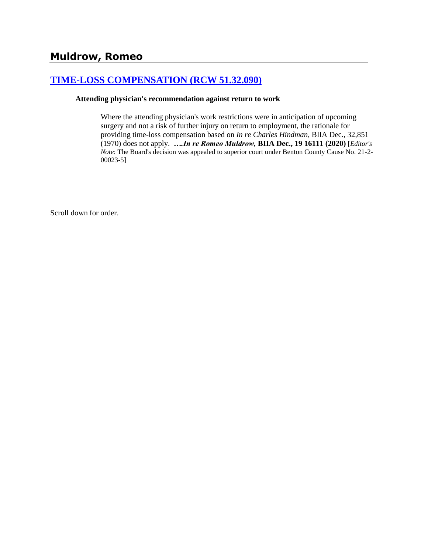## **[TIME-LOSS COMPENSATION \(RCW 51.32.090\)](http://www.biia.wa.gov/SDSubjectIndex.html#TIME_LOSS_COMPENSATION)**

#### **Attending physician's recommendation against return to work**

Where the attending physician's work restrictions were in anticipation of upcoming surgery and not a risk of further injury on return to employment, the rationale for providing time-loss compensation based on *In re Charles Hindman,* BIIA Dec., 32,851 (1970) does not apply. *….In re Romeo Muldrow,* **BIIA Dec., 19 16111 (2020)** [*Editor's Note*: The Board's decision was appealed to superior court under Benton County Cause No. 21-2- 00023-5]

Scroll down for order.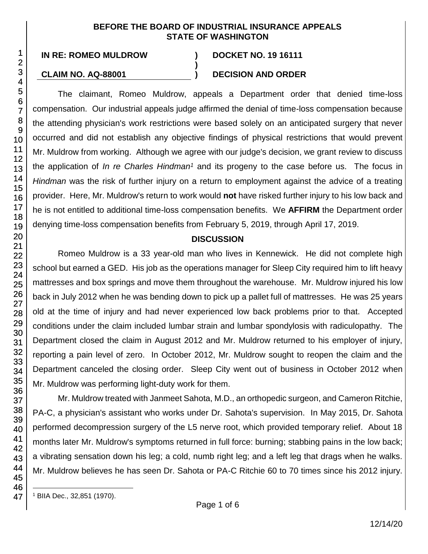#### **BEFORE THE BOARD OF INDUSTRIAL INSURANCE APPEALS STATE OF WASHINGTON**

**)**

# **CLAIM NO. AQ-88001 ) DECISION AND ORDER**

The claimant, Romeo Muldrow, appeals a Department order that denied time-loss compensation. Our industrial appeals judge affirmed the denial of time-loss compensation because the attending physician's work restrictions were based solely on an anticipated surgery that never occurred and did not establish any objective findings of physical restrictions that would prevent Mr. Muldrow from working. Although we agree with our judge's decision, we grant review to discuss the application of *In re Charles Hindman<sup>1</sup>* and its progeny to the case before us. The focus in *Hindman* was the risk of further injury on a return to employment against the advice of a treating provider. Here, Mr. Muldrow's return to work would **not** have risked further injury to his low back and he is not entitled to additional time-loss compensation benefits. We **AFFIRM** the Department order denying time-loss compensation benefits from February 5, 2019, through April 17, 2019.

#### **DISCUSSION**

Romeo Muldrow is a 33 year-old man who lives in Kennewick. He did not complete high school but earned a GED. His job as the operations manager for Sleep City required him to lift heavy mattresses and box springs and move them throughout the warehouse. Mr. Muldrow injured his low back in July 2012 when he was bending down to pick up a pallet full of mattresses. He was 25 years old at the time of injury and had never experienced low back problems prior to that. Accepted conditions under the claim included lumbar strain and lumbar spondylosis with radiculopathy. The Department closed the claim in August 2012 and Mr. Muldrow returned to his employer of injury, reporting a pain level of zero. In October 2012, Mr. Muldrow sought to reopen the claim and the Department canceled the closing order. Sleep City went out of business in October 2012 when Mr. Muldrow was performing light-duty work for them.

Mr. Muldrow treated with Janmeet Sahota, M.D., an orthopedic surgeon, and Cameron Ritchie, PA-C, a physician's assistant who works under Dr. Sahota's supervision. In May 2015, Dr. Sahota performed decompression surgery of the L5 nerve root, which provided temporary relief. About 18 months later Mr. Muldrow's symptoms returned in full force: burning; stabbing pains in the low back; a vibrating sensation down his leg; a cold, numb right leg; and a left leg that drags when he walks. Mr. Muldrow believes he has seen Dr. Sahota or PA-C Ritchie 60 to 70 times since his 2012 injury.

l

<sup>1</sup> BIIA Dec., 32,851 (1970).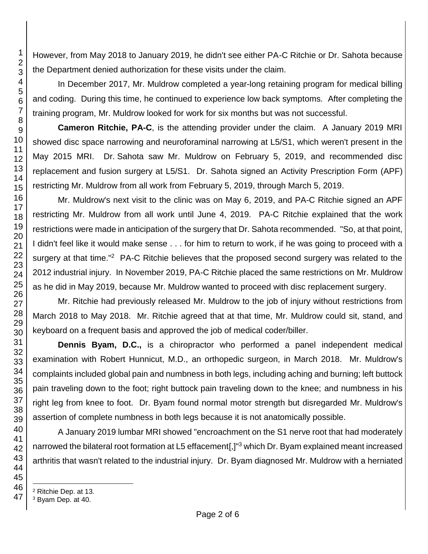However, from May 2018 to January 2019, he didn't see either PA-C Ritchie or Dr. Sahota because the Department denied authorization for these visits under the claim.

In December 2017, Mr. Muldrow completed a year-long retaining program for medical billing and coding. During this time, he continued to experience low back symptoms. After completing the training program, Mr. Muldrow looked for work for six months but was not successful.

**Cameron Ritchie, PA-C**, is the attending provider under the claim. A January 2019 MRI showed disc space narrowing and neuroforaminal narrowing at L5/S1, which weren't present in the May 2015 MRI. Dr. Sahota saw Mr. Muldrow on February 5, 2019, and recommended disc replacement and fusion surgery at L5/S1. Dr. Sahota signed an Activity Prescription Form (APF) restricting Mr. Muldrow from all work from February 5, 2019, through March 5, 2019.

Mr. Muldrow's next visit to the clinic was on May 6, 2019, and PA-C Ritchie signed an APF restricting Mr. Muldrow from all work until June 4, 2019. PA-C Ritchie explained that the work restrictions were made in anticipation of the surgery that Dr. Sahota recommended. "So, at that point, I didn't feel like it would make sense . . . for him to return to work, if he was going to proceed with a surgery at that time."<sup>2</sup> PA-C Ritchie believes that the proposed second surgery was related to the 2012 industrial injury. In November 2019, PA-C Ritchie placed the same restrictions on Mr. Muldrow as he did in May 2019, because Mr. Muldrow wanted to proceed with disc replacement surgery.

Mr. Ritchie had previously released Mr. Muldrow to the job of injury without restrictions from March 2018 to May 2018. Mr. Ritchie agreed that at that time, Mr. Muldrow could sit, stand, and keyboard on a frequent basis and approved the job of medical coder/biller.

**Dennis Byam, D.C.,** is a chiropractor who performed a panel independent medical examination with Robert Hunnicut, M.D., an orthopedic surgeon, in March 2018. Mr. Muldrow's complaints included global pain and numbness in both legs, including aching and burning; left buttock pain traveling down to the foot; right buttock pain traveling down to the knee; and numbness in his right leg from knee to foot. Dr. Byam found normal motor strength but disregarded Mr. Muldrow's assertion of complete numbness in both legs because it is not anatomically possible.

A January 2019 lumbar MRI showed "encroachment on the S1 nerve root that had moderately narrowed the bilateral root formation at L5 effacement[,]"<sup>3</sup> which Dr. Byam explained meant increased arthritis that wasn't related to the industrial injury. Dr. Byam diagnosed Mr. Muldrow with a herniated

l

Ritchie Dep. at 13.

Byam Dep. at 40.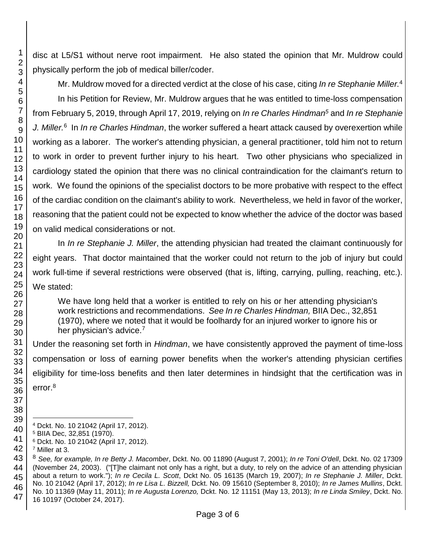disc at L5/S1 without nerve root impairment. He also stated the opinion that Mr. Muldrow could physically perform the job of medical biller/coder.

Mr. Muldrow moved for a directed verdict at the close of his case, citing *In re Stephanie Miller.*<sup>4</sup>

In his Petition for Review, Mr. Muldrow argues that he was entitled to time-loss compensation from February 5, 2019, through April 17, 2019, relying on *In re Charles Hindman<sup>5</sup>* and *In re Stephanie J. Miller.*<sup>6</sup> In *In re Charles Hindman*, the worker suffered a heart attack caused by overexertion while working as a laborer. The worker's attending physician, a general practitioner, told him not to return to work in order to prevent further injury to his heart. Two other physicians who specialized in cardiology stated the opinion that there was no clinical contraindication for the claimant's return to work. We found the opinions of the specialist doctors to be more probative with respect to the effect of the cardiac condition on the claimant's ability to work. Nevertheless, we held in favor of the worker, reasoning that the patient could not be expected to know whether the advice of the doctor was based on valid medical considerations or not.

In *In re Stephanie J. Miller*, the attending physician had treated the claimant continuously for eight years. That doctor maintained that the worker could not return to the job of injury but could work full-time if several restrictions were observed (that is, lifting, carrying, pulling, reaching, etc.). We stated:

We have long held that a worker is entitled to rely on his or her attending physician's work restrictions and recommendations. *See In re Charles Hindman,* BIIA Dec., 32,851 (1970), where we noted that it would be foolhardy for an injured worker to ignore his or her physician's advice.<sup>7</sup>

Under the reasoning set forth in *Hindman*, we have consistently approved the payment of time-loss compensation or loss of earning power benefits when the worker's attending physician certifies eligibility for time-loss benefits and then later determines in hindsight that the certification was in error.<sup>8</sup>

l

Dckt. No. 10 21042 (April 17, 2012).

BIIA Dec, 32,851 (1970).

Dckt. No. 10 21042 (April 17, 2012).

Miller at 3.

 *See, for example, In re Betty J. Macomber*, Dckt. No. 00 11890 (August 7, 2001); *In re Toni O'dell*, Dckt. No. 02 17309 (November 24, 2003). ("[T]he claimant not only has a right, but a duty, to rely on the advice of an attending physician about a return to work."); *In re Cecila L. Scott*, Dckt No. 05 16135 (March 19, 2007); *In re Stephanie J. Miller*, Dckt. No. 10 21042 (April 17, 2012); *In re Lisa L. Bizzell,* Dckt. No. 09 15610 (September 8, 2010); *In re James Mullins*, Dckt. No. 10 11369 (May 11, 2011); *In re Augusta Lorenzo,* Dckt. No. 12 11151 (May 13, 2013); *In re Linda Smiley*, Dckt. No. 16 10197 (October 24, 2017).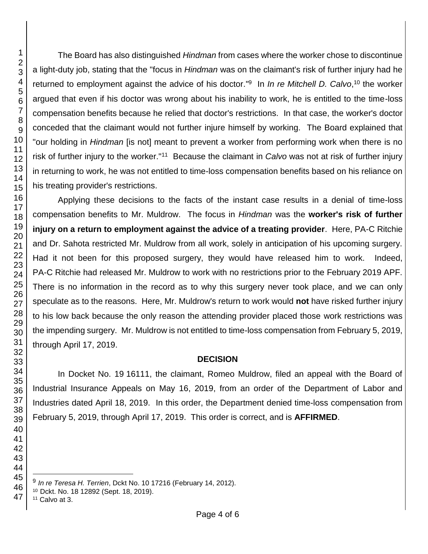The Board has also distinguished *Hindman* from cases where the worker chose to discontinue a light-duty job, stating that the "focus in *Hindman* was on the claimant's risk of further injury had he returned to employment against the advice of his doctor." 9 In *In re Mitchell D. Calvo*, <sup>10</sup> the worker argued that even if his doctor was wrong about his inability to work, he is entitled to the time-loss compensation benefits because he relied that doctor's restrictions. In that case, the worker's doctor conceded that the claimant would not further injure himself by working. The Board explained that "our holding in *Hindman* [is not] meant to prevent a worker from performing work when there is no risk of further injury to the worker."<sup>11</sup> Because the claimant in *Calvo* was not at risk of further injury in returning to work, he was not entitled to time-loss compensation benefits based on his reliance on his treating provider's restrictions.

Applying these decisions to the facts of the instant case results in a denial of time-loss compensation benefits to Mr. Muldrow. The focus in *Hindman* was the **worker's risk of further injury on a return to employment against the advice of a treating provider**. Here, PA-C Ritchie and Dr. Sahota restricted Mr. Muldrow from all work, solely in anticipation of his upcoming surgery. Had it not been for this proposed surgery, they would have released him to work. Indeed, PA-C Ritchie had released Mr. Muldrow to work with no restrictions prior to the February 2019 APF. There is no information in the record as to why this surgery never took place, and we can only speculate as to the reasons. Here, Mr. Muldrow's return to work would **not** have risked further injury to his low back because the only reason the attending provider placed those work restrictions was the impending surgery. Mr. Muldrow is not entitled to time-loss compensation from February 5, 2019, through April 17, 2019.

#### **DECISION**

In Docket No. 19 16111, the claimant, Romeo Muldrow, filed an appeal with the Board of Industrial Insurance Appeals on May 16, 2019, from an order of the Department of Labor and Industries dated April 18, 2019. In this order, the Department denied time-loss compensation from February 5, 2019, through April 17, 2019. This order is correct, and is **AFFIRMED**.

 

*In re Teresa H. Terrien*, Dckt No. 10 17216 (February 14, 2012).

Dckt. No. 18 12892 (Sept. 18, 2019).

Calvo at 3.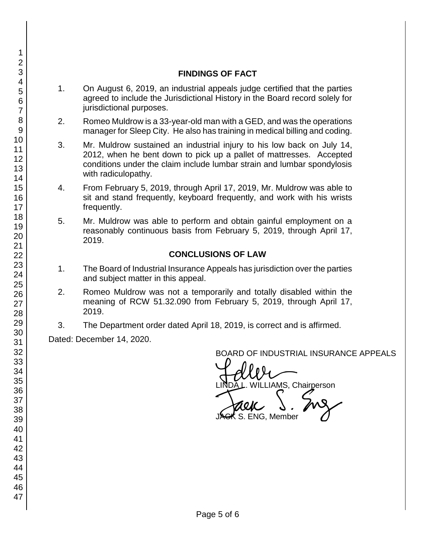#### **FINDINGS OF FACT**

- 1. On August 6, 2019, an industrial appeals judge certified that the parties agreed to include the Jurisdictional History in the Board record solely for jurisdictional purposes.
- 2. Romeo Muldrow is a 33-year-old man with a GED, and was the operations manager for Sleep City. He also has training in medical billing and coding.
- 3. Mr. Muldrow sustained an industrial injury to his low back on July 14, 2012, when he bent down to pick up a pallet of mattresses. Accepted conditions under the claim include lumbar strain and lumbar spondylosis with radiculopathy.
- 4. From February 5, 2019, through April 17, 2019, Mr. Muldrow was able to sit and stand frequently, keyboard frequently, and work with his wrists frequently.
- 5. Mr. Muldrow was able to perform and obtain gainful employment on a reasonably continuous basis from February 5, 2019, through April 17, 2019.

### **CONCLUSIONS OF LAW**

- 1. The Board of Industrial Insurance Appeals has jurisdiction over the parties and subject matter in this appeal.
- 2. Romeo Muldrow was not a temporarily and totally disabled within the meaning of RCW 51.32.090 from February 5, 2019, through April 17, 2019.
- 3. The Department order dated April 18, 2019, is correct and is affirmed.

Dated: December 14, 2020.

BOARD OF INDUSTRIAL INSURANCE APPEALS

BOARD OF INDUSTRIAL INSURAM<br>LINDA L. WILLIAMS, Chairperson<br>JACK S. ENG, Member

 $\boldsymbol{\kappa}$  S. ENG, Member